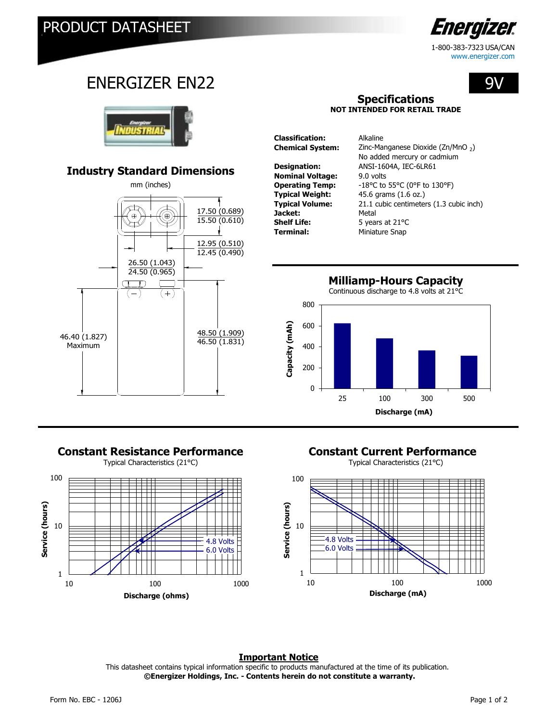

www.energizer.com

9V

# ENERGIZER EN22



## **Industry Standard Dimensions**



# **Constant Resistance Performance Constant Current Performance**



### **Specifications NOT INTENDED FOR RETAIL TRADE**

**Classification:** Alkaline **Chemical System:** Zinc-Manganese Dioxide (Zn/MnO <sub>2</sub>) **Designation:** ANSI-1604A, IEC-6LR61 **Nominal Voltage:** 9.0 volts **Operating Temp:** -18°C to 55°C (0°F to 130°F) **Typical Weight:** 45.6 grams (1.6 oz.)<br> **Typical Volume:** 21.1 cubic centimeter 21.1 cubic centimeters (1.3 cubic inch) **Jacket:** Metal<br> **Shelf Life:** 5 year **Shelf Life:** 5 years at 21<sup>o</sup>C<br> **Terminal:** Miniature Snap **Terminal:** Miniature Snap No added mercury or cadmium

**Milliamp-Hours Capacity**





### **Important Notice**

 **©Energizer Holdings, Inc. - Contents herein do not constitute a warranty.** This datasheet contains typical information specific to products manufactured at the time of its publication.